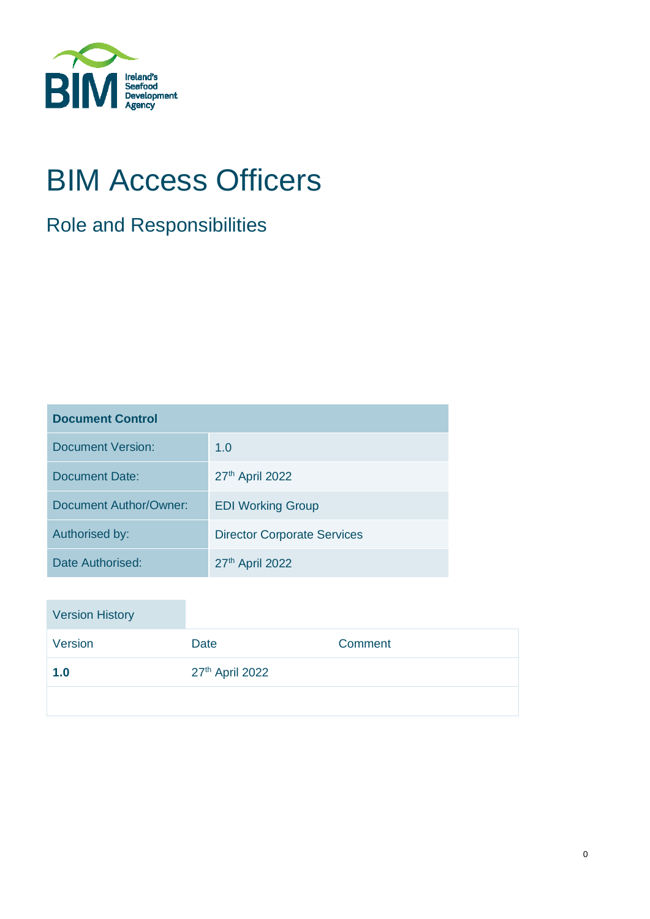

# BIM Access Officers

## Role and Responsibilities

| <b>Document Control</b>  |                                    |  |
|--------------------------|------------------------------------|--|
| <b>Document Version:</b> | 1.0                                |  |
| <b>Document Date:</b>    | 27th April 2022                    |  |
| Document Author/Owner:   | <b>EDI Working Group</b>           |  |
| Authorised by:           | <b>Director Corporate Services</b> |  |
| Date Authorised:         | 27th April 2022                    |  |

| <b>Version History</b> |                 |         |
|------------------------|-----------------|---------|
| Version                | <b>Date</b>     | Comment |
| 1.0                    | 27th April 2022 |         |
|                        |                 |         |